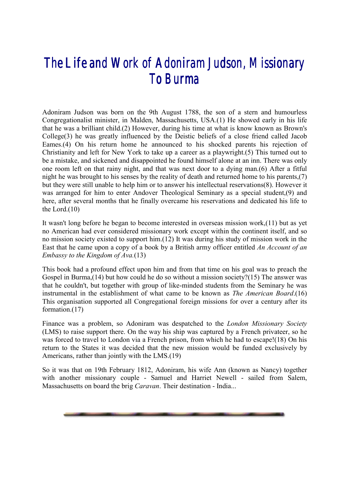## *The Life and Work of Adoniram Judson, Missionary To Burma*

Adoniram Judson was born on the 9th August 1788, the son of a stern and humourless Congregationalist minister, in Malden, Massachusetts, USA.(1) He showed early in his life that he was a brilliant child.(2) However, during his time at what is know known as Brown's College(3) he was greatly influenced by the Deistic beliefs of a close friend called Jacob Eames.(4) On his return home he announced to his shocked parents his rejection of Christianity and left for New York to take up a career as a playwright.(5) This turned out to be a mistake, and sickened and disappointed he found himself alone at an inn. There was only one room left on that rainy night, and that was next door to a dying man.(6) After a fitful night he was brought to his senses by the reality of death and returned home to his parents,(7) but they were still unable to help him or to answer his intellectual reservations(8). However it was arranged for him to enter Andover Theological Seminary as a special student,(9) and here, after several months that he finally overcame his reservations and dedicated his life to the Lord.(10)

It wasn't long before he began to become interested in overseas mission work,(11) but as yet no American had ever considered missionary work except within the continent itself, and so no mission society existed to support him.(12) It was during his study of mission work in the East that he came upon a copy of a book by a British army officer entitled *An Account of an Embassy to the Kingdom of Ava.*(13)

This book had a profound effect upon him and from that time on his goal was to preach the Gospel in Burma,(14) but how could he do so without a mission society?(15) The answer was that he couldn't, but together with group of like-minded students from the Seminary he was instrumental in the establishment of what came to be known as *The American Board*.(16) This organisation supported all Congregational foreign missions for over a century after its formation.(17)

Finance was a problem, so Adoniram was despatched to the *London Missionary Society* (LMS) to raise support there. On the way his ship was captured by a French privateer, so he was forced to travel to London via a French prison, from which he had to escape!(18) On his return to the States it was decided that the new mission would be funded exclusively by Americans, rather than jointly with the LMS.(19)

So it was that on 19th February 1812, Adoniram, his wife Ann (known as Nancy) together with another missionary couple - Samuel and Harriet Newell - sailed from Salem, Massachusetts on board the brig *Caravan*. Their destination - India...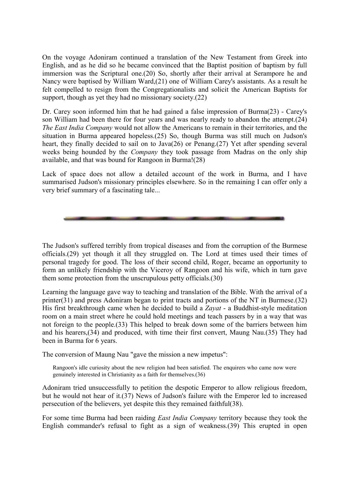On the voyage Adoniram continued a translation of the New Testament from Greek into English, and as he did so he became convinced that the Baptist position of baptism by full immersion was the Scriptural one.(20) So, shortly after their arrival at Serampore he and Nancy were baptised by William Ward,(21) one of William Carey's assistants. As a result he felt compelled to resign from the Congregationalists and solicit the American Baptists for support, though as yet they had no missionary society.(22)

Dr. Carey soon informed him that he had gained a false impression of Burma(23) - Carey's son William had been there for four years and was nearly ready to abandon the attempt.(24) *The East India Company* would not allow the Americans to remain in their territories, and the situation in Burma appeared hopeless.(25) So, though Burma was still much on Judson's heart, they finally decided to sail on to Java(26) or Penang.(27) Yet after spending several weeks being hounded by the *Company* they took passage from Madras on the only ship available, and that was bound for Rangoon in Burma!(28)

Lack of space does not allow a detailed account of the work in Burma, and I have summarised Judson's missionary principles elsewhere. So in the remaining I can offer only a very brief summary of a fascinating tale...

The Judson's suffered terribly from tropical diseases and from the corruption of the Burmese officials.(29) yet though it all they struggled on. The Lord at times used their times of personal tragedy for good. The loss of their second child, Roger, became an opportunity to form an unlikely friendship with the Viceroy of Rangoon and his wife, which in turn gave them some protection from the unscrupulous petty officials.(30)

Learning the language gave way to teaching and translation of the Bible. With the arrival of a printer(31) and press Adoniram began to print tracts and portions of the NT in Burmese.(32) His first breakthrough came when he decided to build a *Zayat* - a Buddhist-style meditation room on a main street where he could hold meetings and teach passers by in a way that was not foreign to the people.(33) This helped to break down some of the barriers between him and his hearers,(34) and produced, with time their first convert, Maung Nau.(35) They had been in Burma for 6 years.

The conversion of Maung Nau "gave the mission a new impetus":

Rangoon's idle curiosity about the new religion had been satisfied. The enquirers who came now were genuinely interested in Christianity as a faith for themselves.(36)

Adoniram tried unsuccessfully to petition the despotic Emperor to allow religious freedom, but he would not hear of it.(37) News of Judson's failure with the Emperor led to increased persecution of the believers, yet despite this they remained faithful(38).

For some time Burma had been raiding *East India Company* territory because they took the English commander's refusal to fight as a sign of weakness.(39) This erupted in open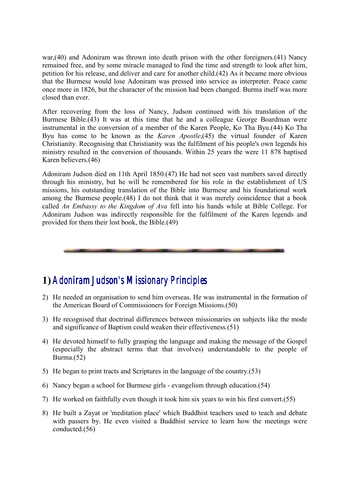war,(40) and Adoniram was thrown into death prison with the other foreigners.(41) Nancy remained free, and by some miracle managed to find the time and strength to look after him, petition for his release, and deliver and care for another child.(42) As it became more obvious that the Burmese would lose Adoniram was pressed into service as interpreter. Peace came once more in 1826, but the character of the mission had been changed. Burma itself was more closed than ever.

After recovering from the loss of Nancy, Judson continued with his translation of the Burmese Bible.(43) It was at this time that he and a colleague George Boardman were instrumental in the conversion of a member of the Karen People, Ko Tha Byu.(44) Ko Tha Byu has come to be known as the *Karen Apostle*,(45) the virtual founder of Karen Christianity. Recognising that Christianity was the fulfilment of his people's own legends his ministry resulted in the conversion of thousands. Within 25 years the were 11 878 baptised Karen believers.(46)

Adoniram Judson died on 11th April 1850.(47) He had not seen vast numbers saved directly through his ministry, but he will be remembered for his role in the establishment of US missions, his outstanding translation of the Bible into Burmese and his foundational work among the Burmese people.(48) I do not think that it was merely coincidence that a book called *An Embassy to the Kingdom of Ava* fell into his hands while at Bible College. For Adoniram Judson was indirectly responsible for the fulfilment of the Karen legends and provided for them their lost book, the Bible.(49)

## **1)** *Adoniram Adoniram Judson's Missionary Principles Judson's Missionary Principles*

- 2) He needed an organisation to send him overseas. He was instrumental in the formation of the American Board of Commissioners for Foreign Missions.(50)
- 3) He recognised that doctrinal differences between missionaries on subjects like the mode and significance of Baptism could weaken their effectiveness.(51)
- 4) He devoted himself to fully grasping the language and making the message of the Gospel (especially the abstract terms that that involves) understandable to the people of Burma. $(52)$
- 5) He began to print tracts and Scriptures in the language of the country.(53)
- 6) Nancy began a school for Burmese girls evangelism through education.(54)
- 7) He worked on faithfully even though it took him six years to win his first convert.(55)
- 8) He built a Zayat or 'meditation place' which Buddhist teachers used to teach and debate with passers by. He even visited a Buddhist service to learn how the meetings were conducted.(56)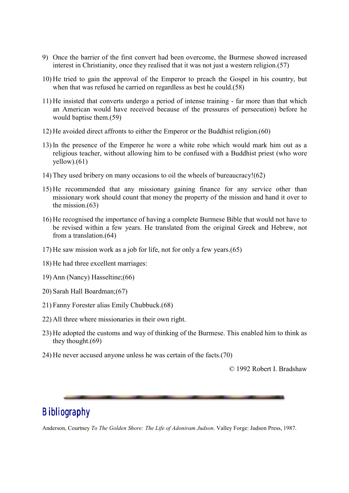- 9) Once the barrier of the first convert had been overcome, the Burmese showed increased interest in Christianity, once they realised that it was not just a western religion.(57)
- 10) He tried to gain the approval of the Emperor to preach the Gospel in his country, but when that was refused he carried on regardless as best he could.(58)
- 11) He insisted that converts undergo a period of intense training far more than that which an American would have received because of the pressures of persecution) before he would baptise them.(59)
- 12) He avoided direct affronts to either the Emperor or the Buddhist religion.(60)
- 13) In the presence of the Emperor he wore a white robe which would mark him out as a religious teacher, without allowing him to be confused with a Buddhist priest (who wore  $yellow)(61)$
- 14) They used bribery on many occasions to oil the wheels of bureaucracy!(62)
- 15) He recommended that any missionary gaining finance for any service other than missionary work should count that money the property of the mission and hand it over to the mission.(63)
- 16) He recognised the importance of having a complete Burmese Bible that would not have to be revised within a few years. He translated from the original Greek and Hebrew, not from a translation.(64)
- 17) He saw mission work as a job for life, not for only a few years.(65)
- 18) He had three excellent marriages:
- 19) Ann (Nancy) Hasseltine;(66)
- 20) Sarah Hall Boardman;(67)
- 21) Fanny Forester alias Emily Chubbuck.(68)
- 22) All three where missionaries in their own right.
- 23) He adopted the customs and way of thinking of the Burmese. This enabled him to think as they thought.(69)
- 24) He never accused anyone unless he was certain of the facts.(70)

© 1992 Robert I. Bradshaw

## *Bibliography*

Anderson, Courtney *To The Golden Shore: The Life of Adoniram Judson*. Valley Forge: Judson Press, 1987.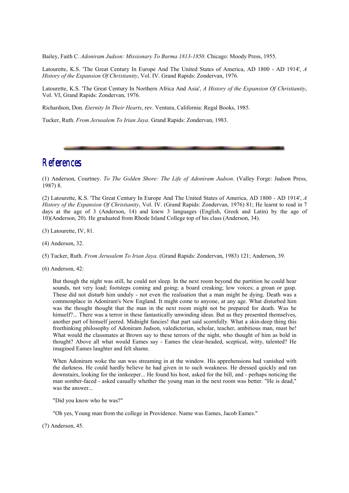Bailey, Faith C. *Adoniram Judson: Missionary To Burma 1813-1850*. Chicago: Moody Press, 1955.

Latourette, K.S. 'The Great Century In Europe And The United States of America, AD 1800 - AD 1914', *A History of the Expansion Of Christianity*, Vol. IV. Grand Rapids: Zondervan, 1976.

Latourette, K.S. 'The Great Century In Northern Africa And Asia', *A History of the Expansion Of Christianity*, Vol. VI, Grand Rapids: Zondervan, 1976.

Richardson, Don. *Eternity In Their Hearts*, rev. Ventura, California: Regal Books, 1985.

Tucker, Ruth. *From Jerusalem To Irian Jaya*. Grand Rapids: Zondervan, 1983.

## *References*

(1) Anderson, Courtney. *To The Golden Shore: The Life of Adoniram Judson*. (Valley Forge: Judson Press, 1987) 8.

(2) Latourette, K.S. 'The Great Century In Europe And The United States of America, AD 1800 - AD 1914', *A History of the Expansion Of Christianity*, Vol. IV. (Grand Rapids: Zondervan, 1976) 81; He learnt to read in 7 days at the age of 3 (Anderson, 14) and knew 3 languages (English, Greek and Latin) by the age of 10)(Anderson, 20). He graduated from Rhode Island College top of his class (Anderson, 34).

(3) Latourette, IV, 81.

(4) Anderson, 32.

(5) Tucker, Ruth. *From Jerusalem To Irian Jaya*. (Grand Rapids: Zondervan, 1983) 121; Anderson, 39.

(6) Anderson, 42:

But though the night was still, he could not sleep. In the next room beyond the partition he could hear sounds, not very load; footsteps coming and going; a board creaking; low voices; a groan or gasp. These did not disturb him unduly - not even the realisation that a man might be dying. Death was a commonplace in Adoniram's New England. It might come to anyone, at any age. What disturbed him was the thought thought that the man in the next room might not be prepared for death. Was he himself?... There was a terror in these fantastically unwinding ideas. But as they presented themselves, another part of himself jeered. Midnight fancies! that part said scornfully. What a skin-deep thing this freethinking philosophy of Adoniram Judson, valedictorian, scholar, teacher, ambitious man, must be! What would the classmates at Brown say to these terrors of the night, who thought of him as bold in thought? Above all what would Eames say - Eames the clear-headed, sceptical, witty, talented? He imagined Eames laughter and felt shame.

When Adoniram woke the sun was streaming in at the window. His apprehensions had vanished with the darkness. He could hardly believe he had given in to such weakness. He dressed quickly and ran downstairs, looking for the innkeeper... He found his host, asked for the bill, and - perhaps noticing the man somber-faced - asked casually whether the young man in the next room was better. "He is dead," was the answer...

"Did you know who he was?"

"Oh yes, Young man from the college in Providence. Name was Eames, Jacob Eames."

(7) Anderson, 45.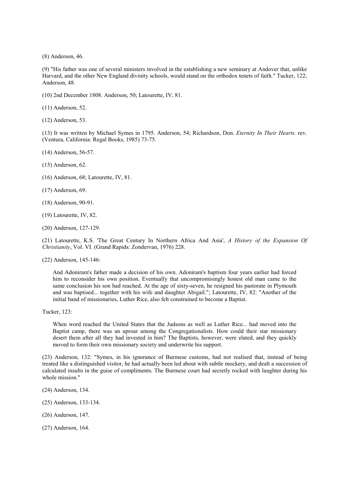(8) Anderson, 46.

(9) "His father was one of several ministers involved in the establishing a new seminary at Andover that, unlike Harvard, and the other New England divinity schools, would stand on the orthodox tenets of faith." Tucker, 122; Anderson, 48.

(10) 2nd December 1808. Anderson, 50; Latourette, IV, 81.

(11) Anderson, 52.

(12) Anderson, 53.

(13) It was written by Michael Symes in 1795. Anderson, 54; Richardson, Don. *Eternity In Their Hearts.* rev. (Ventura, California: Regal Books, 1985) 73-75.

(14) Anderson, 56-57.

(15) Anderson, 62.

(16) Anderson, 68; Latourette, IV, 81.

(17) Anderson, 69.

(18) Anderson, 90-91.

- (19) Latourette, IV, 82.
- (20) Anderson, 127-129.

(21) Latourette, K.S. 'The Great Century In Northern Africa And Asia', *A History of the Expansion Of Christianity*, Vol. VI. (Grand Rapids: Zondervan, 1976) 228.

(22) Anderson, 145-146:

And Adoniram's father made a decision of his own. Adoniram's baptism four years earlier had forced him to reconsider his own position. Eventually that uncompromisingly honest old man came to the same conclusion his son had reached. At the age of sixty-seven, he resigned his pastorate in Plymouth and was baptised... together with his wife and daughter Abigail."; Latourette, IV, 82: "Another of the initial band of missionaries, Luther Rice, also felt constrained to become a Baptist.

Tucker, 123:

When word reached the United States that the Judsons as well as Luther Rice... had moved into the Baptist camp, there was an uproar among the Congregationalists. How could their star missionary desert them after all they had invested in him? The Baptists, however, were elated, and they quickly moved to form their own missionary society and underwrite his support.

(23) Anderson, 132: "Symes, in his ignorance of Burmese customs, had not realised that, instead of being treated like a distinguished visitor, he had actually been led about with subtle mockery, and dealt a succession of calculated insults in the guise of compliments. The Burmese court had secretly rocked with laughter during his whole mission."

- (24) Anderson, 134.
- (25) Anderson, 133-134.
- (26) Anderson, 147.

(27) Anderson, 164.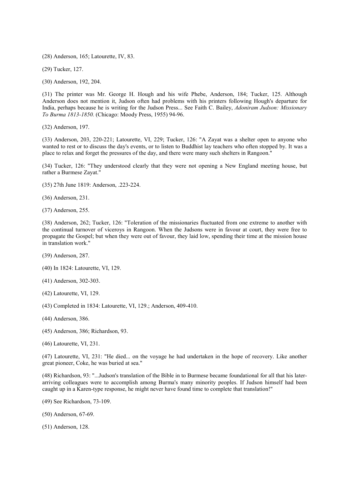(28) Anderson, 165; Latourette, IV, 83.

(29) Tucker, 127.

(30) Anderson, 192, 204.

(31) The printer was Mr. George H. Hough and his wife Phebe, Anderson, 184; Tucker, 125. Although Anderson does not mention it, Judson often had problems with his printers following Hough's departure for India, perhaps because he is writing for the Judson Press... See Faith C. Bailey, *Adoniram Judson: Missionary To Burma 1813-1850.* (Chicago: Moody Press, 1955) 94-96.

(32) Anderson, 197.

(33) Anderson, 203, 220-221; Latourette, VI, 229; Tucker, 126: "A Zayat was a shelter open to anyone who wanted to rest or to discuss the day's events, or to listen to Buddhist lay teachers who often stopped by. It was a place to relax and forget the pressures of the day, and there were many such shelters in Rangoon."

(34) Tucker, 126: "They understood clearly that they were not opening a New England meeting house, but rather a Burmese Zayat."

- (35) 27th June 1819: Anderson, .223-224.
- (36) Anderson, 231.
- (37) Anderson, 255.

(38) Anderson, 262; Tucker, 126: "Toleration of the missionaries fluctuated from one extreme to another with the continual turnover of viceroys in Rangoon. When the Judsons were in favour at court, they were free to propagate the Gospel; but when they were out of favour, they laid low, spending their time at the mission house in translation work."

- (39) Anderson, 287.
- (40) In 1824: Latourette, VI, 129.
- (41) Anderson, 302-303.
- (42) Latourette, VI, 129.
- (43) Completed in 1834: Latourette, VI, 129.; Anderson, 409-410.
- (44) Anderson, 386.
- (45) Anderson, 386; Richardson, 93.
- (46) Latourette, VI, 231.

(47) Latourette, VI, 231: "He died... on the voyage he had undertaken in the hope of recovery. Like another great pioneer, Coke, he was buried at sea."

(48) Richardson, 93: "...Judson's translation of the Bible in to Burmese became foundational for all that his laterarriving colleagues were to accomplish among Burma's many minority peoples. If Judson himself had been caught up in a Karen-type response, he might never have found time to complete that translation!"

- (49) See Richardson, 73-109.
- (50) Anderson, 67-69.
- (51) Anderson, 128.